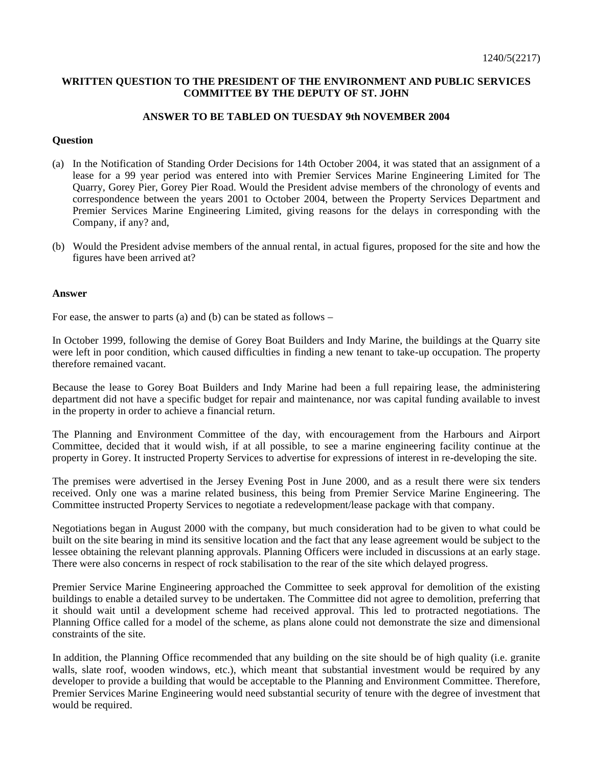## **WRITTEN QUESTION TO THE PRESIDENT OF THE ENVIRONMENT AND PUBLIC SERVICES COMMITTEE BY THE DEPUTY OF ST. JOHN**

## **ANSWER TO BE TABLED ON TUESDAY 9th NOVEMBER 2004**

## **Question**

- (a) In the Notification of Standing Order Decisions for 14th October 2004, it was stated that an assignment of a lease for a 99 year period was entered into with Premier Services Marine Engineering Limited for The Quarry, Gorey Pier, Gorey Pier Road. Would the President advise members of the chronology of events and correspondence between the years 2001 to October 2004, between the Property Services Department and Premier Services Marine Engineering Limited, giving reasons for the delays in corresponding with the Company, if any? and,
- (b) Would the President advise members of the annual rental, in actual figures, proposed for the site and how the figures have been arrived at?

## **Answer**

For ease, the answer to parts (a) and (b) can be stated as follows –

In October 1999, following the demise of Gorey Boat Builders and Indy Marine, the buildings at the Quarry site were left in poor condition, which caused difficulties in finding a new tenant to take-up occupation. The property therefore remained vacant.

Because the lease to Gorey Boat Builders and Indy Marine had been a full repairing lease, the administering department did not have a specific budget for repair and maintenance, nor was capital funding available to invest in the property in order to achieve a financial return.

The Planning and Environment Committee of the day, with encouragement from the Harbours and Airport Committee, decided that it would wish, if at all possible, to see a marine engineering facility continue at the property in Gorey. It instructed Property Services to advertise for expressions of interest in re-developing the site.

The premises were advertised in the Jersey Evening Post in June 2000, and as a result there were six tenders received. Only one was a marine related business, this being from Premier Service Marine Engineering. The Committee instructed Property Services to negotiate a redevelopment/lease package with that company.

Negotiations began in August 2000 with the company, but much consideration had to be given to what could be built on the site bearing in mind its sensitive location and the fact that any lease agreement would be subject to the lessee obtaining the relevant planning approvals. Planning Officers were included in discussions at an early stage. There were also concerns in respect of rock stabilisation to the rear of the site which delayed progress.

Premier Service Marine Engineering approached the Committee to seek approval for demolition of the existing buildings to enable a detailed survey to be undertaken. The Committee did not agree to demolition, preferring that it should wait until a development scheme had received approval. This led to protracted negotiations. The Planning Office called for a model of the scheme, as plans alone could not demonstrate the size and dimensional constraints of the site.

In addition, the Planning Office recommended that any building on the site should be of high quality (i.e. granite walls, slate roof, wooden windows, etc.), which meant that substantial investment would be required by any developer to provide a building that would be acceptable to the Planning and Environment Committee. Therefore, Premier Services Marine Engineering would need substantial security of tenure with the degree of investment that would be required.